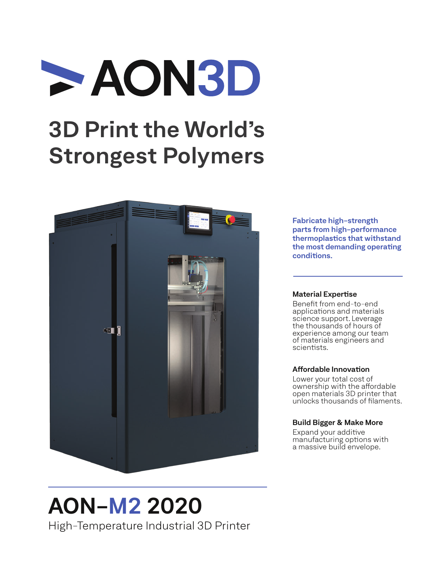

# **3D Print the World's Strongest Polymers**



**Fabricate high-strength parts from high-performance thermoplastics that withstand the most demanding operating** conditions.

### **Material Expertise**

Benefit from end-to-end applications and materials science support. Leverage the thousands of hours of experience among our team of materials engineers and scientists.

#### **Affordable Innovation**

Lower your total cost of ownership with the affordable open materials 3D printer that unlocks thousands of filaments.

#### **Build Bigger & Make More**

Expand your additive manufacturing options with a massive build envelope.

# **AON-M2 2020** High-Temperature Industrial 3D Printer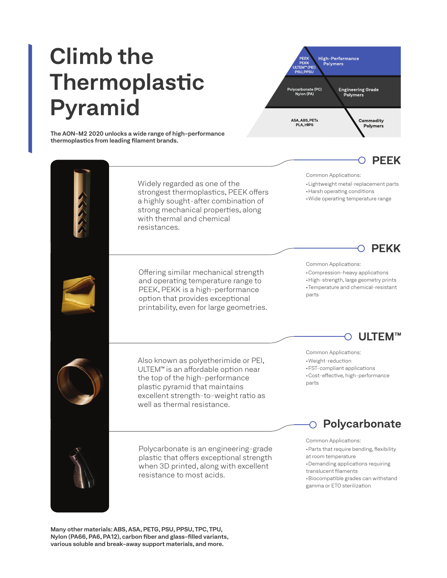# **Climb the Thermoplastic Pyramid**

**The AON-M2 2020 unlocks a wide range of high-performance**  thermoplastics from leading filament brands.

Widely regarded as one of the

with thermal and chemical

resistances.

strongest thermoplastics, PEEK offers a highly sought-after combination of strong mechanical properties, along

Offering similar mechanical strength and operating temperature range to PEEK, PEKK is a high-performance option that provides exceptional printability, even for large geometries.

Also known as polyetherimide or PEI, ULTEM™ is an affordable option near the top of the high-performance plastic pyramid that maintains excellent strength-to-weight ratio as

Polycarbonate is an engineering-grade plastic that offers exceptional strength when 3D printed, along with excellent

well as thermal resistance.

resistance to most acids.





Common Applications:

•Lightweight metal-replacement parts

• Harsh operating conditions

• Wide operating temperature range



Common Applications:

•Compression-heavy applications •High-strength, large geometry prints •Temperature and chemical-resistant parts



Common Applications: •Weight-reduction • FST-compliant applications • Cost-effective, high-performance parts

## O Polycarbonate

Common Applications: •Parts that require bending, flexibility at room temperature • Demanding applications requiring translucent filaments • Biocompatible grades can withstand gamma or ETO sterilization

**Many other materials: ABS, ASA, PETG, PSU, PPSU, TPC, TPU, Nylon (PA66, PA6, PA12), carbon fiber and glass-filled variants, various soluble and break-away support materials, and more.**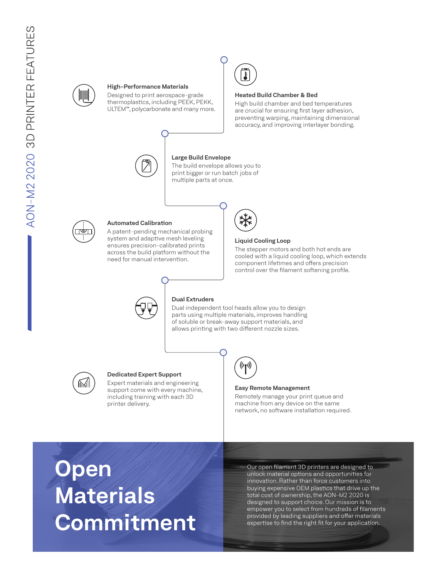

#### **High-Performance Materials**

Designed to print aerospace-grade thermoplastics, including PEEK, PEKK, ULTEM™, polycarbonate and many more.



#### **Heated Build Chamber & Bed**

High build chamber and bed temperatures are crucial for ensuring first layer adhesion, preventing warping, maintaining dimensional accuracy, and improving interlayer bonding.



#### **Large Build Envelope**

The build envelope allows you to print bigger or run batch jobs of multiple parts at once.



#### **Automated Calibration**

A patent-pending mechanical probing system and adaptive mesh leveling ensures precision-calibrated prints across the build platform without the need for manual intervention.



#### **Liquid Cooling Loop**

The stepper motors and both hot ends are cooled with a liquid cooling loop, which extends component lifetimes and offers precision control over the filament softening profile.



#### **Dual Extruders**

Dual independent tool heads allow you to design parts using multiple materials, improves handling of soluble or break-away support materials, and allows printing with two different nozzle sizes.



#### **Dedicated Expert Support**

Expert materials and engineering support come with every machine, including training with each 3D printer delivery.



#### **Easy Remote Management**

Remotely manage your print queue and machine from any device on the same network, no software installation required.

**Open Materials Commitment**

Our open filament 3D printers are designed to unlock material options and opportunities for innovation. Rather than force customers into buying expensive OEM plastics that drive up the total cost of ownership, the AON-M2 2020 is designed to support choice. Our mission is to empower you to select from hundreds of filaments provided by leading suppliers and offer materials expertise to find the right fit for your application.